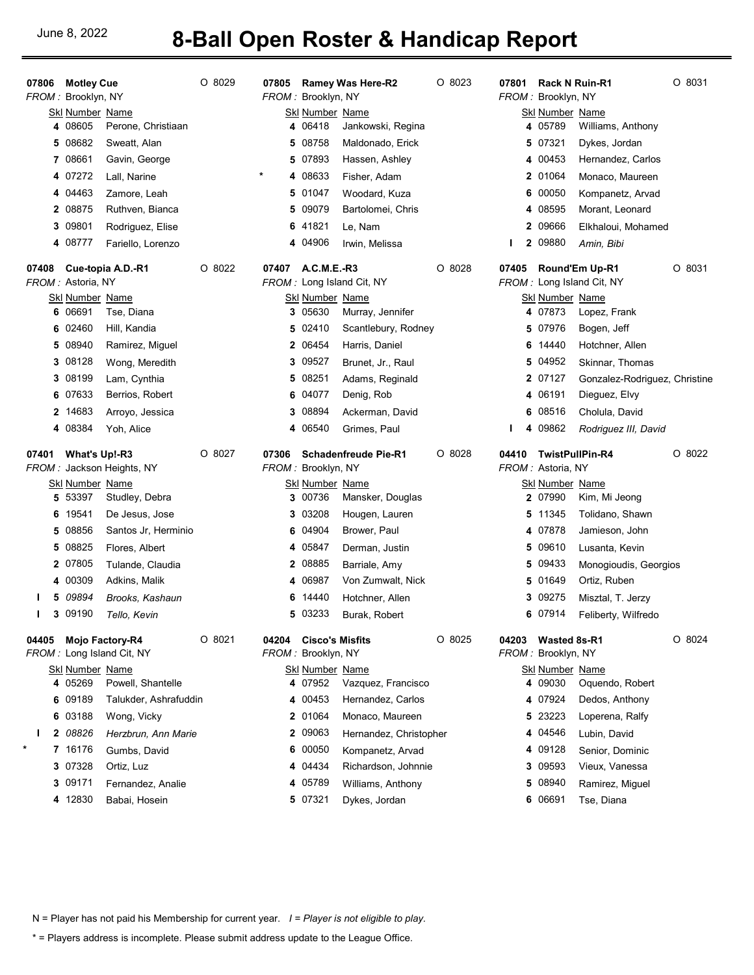## June 8, 2022 **8-Ball Open Roster & Handicap Report**

| 07806   | <b>Motley Cue</b>                 |                                              | O 8029   | 07805    |                                              | <b>Ramey Was Here-R2</b>           | $O$ 8023 | 07801 | <b>Rack N Ruin-R1</b>                       |                                             | O 8031   |
|---------|-----------------------------------|----------------------------------------------|----------|----------|----------------------------------------------|------------------------------------|----------|-------|---------------------------------------------|---------------------------------------------|----------|
|         | FROM: Brooklyn, NY                |                                              |          |          | FROM: Brooklyn, NY                           |                                    |          |       | FROM: Brooklyn, NY                          |                                             |          |
|         | <b>Skl Number Name</b><br>4 08605 | Perone, Christiaan                           |          |          | <b>Skl Number Name</b><br>4 06418            | Jankowski, Regina                  |          |       | <b>Skl Number Name</b><br>4 05789           | Williams, Anthony                           |          |
|         | 08682<br>5                        | Sweatt, Alan                                 |          | 5        | 08758                                        | Maldonado, Erick                   |          |       | 5 07321                                     | Dykes, Jordan                               |          |
|         | 7 08661                           | Gavin, George                                |          |          | 5 07893                                      | Hassen, Ashley                     |          |       | 4 00453                                     | Hernandez, Carlos                           |          |
|         | 4 07272                           | Lall, Narine                                 |          | $^\star$ | 4 08633                                      | Fisher, Adam                       |          |       | 2 01064                                     | Monaco, Maureen                             |          |
|         | 4 04463                           | Zamore, Leah                                 |          | 5        | 01047                                        | Woodard, Kuza                      |          |       | 6 00050                                     | Kompanetz, Arvad                            |          |
|         | 2 08875                           | Ruthven, Bianca                              |          | 5        | 09079                                        | Bartolomei, Chris                  |          |       | 4 08595                                     | Morant, Leonard                             |          |
|         | 3 09801                           | Rodriguez, Elise                             |          | 6        | 41821                                        | Le, Nam                            |          |       | 2 09666                                     | Elkhaloui, Mohamed                          |          |
|         | 4 08777                           | Fariello, Lorenzo                            |          |          | 4 04906                                      | Irwin, Melissa                     |          | I.    | 2 09880                                     | Amin, Bibi                                  |          |
| 07408   | FROM : Astoria, NY                | Cue-topia A.D.-R1                            | O 8022   | 07407    | A.C.M.E.-R3                                  | FROM: Long Island Cit, NY          | $O$ 8028 | 07405 |                                             | Round'Em Up-R1<br>FROM: Long Island Cit, NY | O 8031   |
|         | <b>Skl Number Name</b>            |                                              |          |          | <b>Skl Number Name</b>                       |                                    |          |       | <b>Skl Number Name</b>                      |                                             |          |
|         | 06691<br>6                        | Tse, Diana                                   |          | 3        | 05630                                        | Murray, Jennifer                   |          |       | 4 07873                                     | Lopez, Frank                                |          |
|         | 02460<br>6                        | Hill, Kandia                                 |          | 5        | 02410                                        | Scantlebury, Rodney                |          |       | 5 07976                                     | Bogen, Jeff                                 |          |
|         | 08940<br>5                        | Ramirez, Miguel                              |          |          | 2 06454                                      | Harris, Daniel                     |          | 6     | 14440                                       | Hotchner, Allen                             |          |
|         | 08128<br>3                        | Wong, Meredith                               |          | 3        | 09527                                        | Brunet, Jr., Raul                  |          |       | 5 04952                                     | Skinnar, Thomas                             |          |
|         | 08199<br>3                        | Lam, Cynthia                                 |          | 5        | 08251                                        | Adams, Reginald                    |          |       | 2 07127                                     | Gonzalez-Rodriguez, Christine               |          |
|         | 07633<br>6                        | Berrios, Robert                              |          | 6        | 04077                                        | Denig, Rob                         |          |       | 4 06191                                     | Dieguez, Elvy                               |          |
|         | 2 14683                           | Arroyo, Jessica                              |          | 3        | 08894                                        | Ackerman, David                    |          |       | 6 08516                                     | Cholula, David                              |          |
|         | 4 08384                           | Yoh, Alice                                   |          |          | 4 06540                                      | Grimes, Paul                       |          | I.    | 4 09862                                     | Rodriguez III, David                        |          |
|         |                                   |                                              |          |          |                                              |                                    |          |       |                                             |                                             |          |
| 07401   | What's Up!-R3                     | FROM: Jackson Heights, NY                    | O 8027   | 07306    | FROM: Brooklyn, NY                           | <b>Schadenfreude Pie-R1</b>        | $O$ 8028 | 04410 | <b>TwistPullPin-R4</b><br>FROM: Astoria, NY |                                             | O 8022   |
|         | <u>Ski Number_Name</u>            |                                              |          |          | <b>Skl Number Name</b>                       |                                    |          |       | <u>Skl Number_Name</u>                      |                                             |          |
|         | 53397<br>5                        | Studley, Debra                               |          |          | 3 00736                                      | Mansker, Douglas                   |          |       | 2 07990                                     | Kim, Mi Jeong                               |          |
|         | 19541<br>6                        | De Jesus, Jose                               |          |          | 3 03208                                      | Hougen, Lauren                     |          |       | 5 11345                                     | Tolidano, Shawn                             |          |
|         | 08856<br>5                        | Santos Jr, Herminio                          |          | 6        | 04904                                        | Brower, Paul                       |          |       | 4 07878                                     | Jamieson, John                              |          |
|         | 08825<br>5                        | Flores, Albert                               |          |          | 4 05847                                      | Derman, Justin                     |          |       | 5 09610                                     | Lusanta, Kevin                              |          |
|         | 2 07805                           | Tulande, Claudia                             |          |          | 2 08885                                      | Barriale, Amy                      |          |       | 5 09433                                     | Monogioudis, Georgios                       |          |
|         | 4 00309                           | Adkins, Malik                                |          |          | 4 06987                                      | Von Zumwalt, Nick                  |          |       | 5 01649                                     | Ortiz, Ruben                                |          |
| L       | 09894<br>5                        | Brooks, Kashaun                              |          | 6        | 14440                                        | Hotchner, Allen                    |          |       | 3 09275                                     | Misztal, T. Jerzy                           |          |
| L       | 3 09190                           | Tello, Kevin                                 |          |          | 5 03233                                      | Burak, Robert                      |          |       | 6 07914                                     | Feliberty, Wilfredo                         |          |
| 04405   |                                   | Mojo Factory-R4<br>FROM: Long Island Cit, NY | $O$ 8021 | 04204    | <b>Cisco's Misfits</b><br>FROM: Brooklyn, NY |                                    | $O$ 8025 | 04203 | Wasted 8s-R1<br>FROM: Brooklyn, NY          |                                             | $O$ 8024 |
|         | Skl Number Name                   |                                              |          |          | <b>Skl Number Name</b>                       |                                    |          |       | Skl Number Name                             |                                             |          |
|         | 4 05269                           | Powell, Shantelle                            |          |          | 4 07952                                      | Vazquez, Francisco                 |          |       | 4 09030                                     | Oquendo, Robert                             |          |
|         | 09189<br>6                        | Talukder, Ashrafuddin                        |          |          | 4 00453                                      | Hernandez, Carlos                  |          |       | 4 07924                                     | Dedos, Anthony                              |          |
|         | 6 03188                           | Wong, Vicky                                  |          |          | 2 01064                                      | Monaco, Maureen                    |          |       | 5 23223                                     | Loperena, Ralfy                             |          |
| I.<br>* | 2 08826                           | Herzbrun, Ann Marie                          |          |          | 2 09063                                      | Hernandez, Christopher             |          |       | 4 04546                                     | Lubin, David                                |          |
|         | 7 16176                           | Gumbs, David                                 |          |          | 6 00050                                      | Kompanetz, Arvad                   |          |       | 4 09128                                     | Senior, Dominic                             |          |
|         | 3 07328                           | Ortiz, Luz                                   |          |          | 4 04434                                      | Richardson, Johnnie                |          |       | 3 09593                                     | Vieux, Vanessa                              |          |
|         | 3 09171<br>4 12830                | Fernandez, Analie<br>Babai, Hosein           |          |          | 4 05789<br>5 07321                           | Williams, Anthony<br>Dykes, Jordan |          |       | 5 08940<br>6 06691                          | Ramirez, Miguel<br>Tse, Diana               |          |

N = Player has not paid his Membership for current year. I = Player is not eligible to play.

\* = Players address is incomplete. Please submit address update to the League Office.